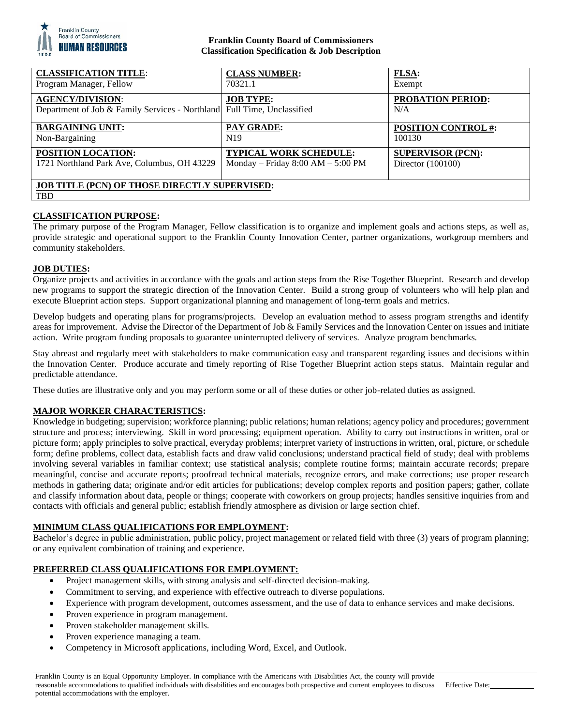

# **Franklin County Board of Commissioners Classification Specification & Job Description**

| <b>CLASSIFICATION TITLE:</b>                                                                       | <b>CLASS NUMBER:</b>                  | <b>FLSA:</b>                    |
|----------------------------------------------------------------------------------------------------|---------------------------------------|---------------------------------|
| Program Manager, Fellow                                                                            | 70321.1                               | Exempt                          |
| <b>AGENCY/DIVISION:</b><br>Department of Job & Family Services - Northland Full Time, Unclassified | <b>JOB TYPE:</b>                      | <b>PROBATION PERIOD:</b><br>N/A |
| <b>BARGAINING UNIT:</b>                                                                            | <b>PAY GRADE:</b>                     | <b>POSITION CONTROL #:</b>      |
| Non-Bargaining                                                                                     | N <sub>19</sub>                       | 100130                          |
| <b>POSITION LOCATION:</b>                                                                          | <b>TYPICAL WORK SCHEDULE:</b>         | <b>SUPERVISOR (PCN):</b>        |
| 1721 Northland Park Ave, Columbus, OH 43229                                                        | Monday – Friday $8:00$ AM – $5:00$ PM | Director $(100100)$             |
| <b>JOB TITLE (PCN) OF THOSE DIRECTLY SUPERVISED:</b><br><b>TBD</b>                                 |                                       |                                 |

# **CLASSIFICATION PURPOSE:**

The primary purpose of the Program Manager, Fellow classification is to organize and implement goals and actions steps, as well as, provide strategic and operational support to the Franklin County Innovation Center, partner organizations, workgroup members and community stakeholders.

#### **JOB DUTIES:**

Organize projects and activities in accordance with the goals and action steps from the Rise Together Blueprint. Research and develop new programs to support the strategic direction of the Innovation Center. Build a strong group of volunteers who will help plan and execute Blueprint action steps. Support organizational planning and management of long-term goals and metrics.

Develop budgets and operating plans for programs/projects. Develop an evaluation method to assess program strengths and identify areas for improvement. Advise the Director of the Department of Job & Family Services and the Innovation Center on issues and initiate action. Write program funding proposals to guarantee uninterrupted delivery of services. Analyze program benchmarks.

Stay abreast and regularly meet with stakeholders to make communication easy and transparent regarding issues and decisions within the Innovation Center. Produce accurate and timely reporting of Rise Together Blueprint action steps status. Maintain regular and predictable attendance.

These duties are illustrative only and you may perform some or all of these duties or other job-related duties as assigned.

## **MAJOR WORKER CHARACTERISTICS:**

Knowledge in budgeting; supervision; workforce planning; public relations; human relations; agency policy and procedures; government structure and process; interviewing. Skill in word processing; equipment operation. Ability to carry out instructions in written, oral or picture form; apply principles to solve practical, everyday problems; interpret variety of instructions in written, oral, picture, or schedule form; define problems, collect data, establish facts and draw valid conclusions; understand practical field of study; deal with problems involving several variables in familiar context; use statistical analysis; complete routine forms; maintain accurate records; prepare meaningful, concise and accurate reports; proofread technical materials, recognize errors, and make corrections; use proper research methods in gathering data; originate and/or edit articles for publications; develop complex reports and position papers; gather, collate and classify information about data, people or things; cooperate with coworkers on group projects; handles sensitive inquiries from and contacts with officials and general public; establish friendly atmosphere as division or large section chief.

## **MINIMUM CLASS QUALIFICATIONS FOR EMPLOYMENT:**

Bachelor's degree in public administration, public policy, project management or related field with three (3) years of program planning; or any equivalent combination of training and experience.

## **PREFERRED CLASS QUALIFICATIONS FOR EMPLOYMENT:**

- Project management skills, with strong analysis and self-directed decision-making.
- Commitment to serving, and experience with effective outreach to diverse populations.
- Experience with program development, outcomes assessment, and the use of data to enhance services and make decisions.
- Proven experience in program management.
- Proven stakeholder management skills.
- Proven experience managing a team.
- Competency in Microsoft applications, including Word, Excel, and Outlook.